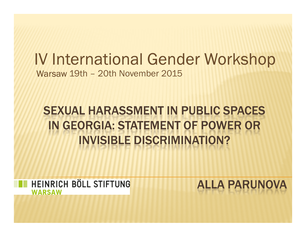# IV International Gender WorkshopWarsaw 19th – 20th November 2015

# SEXUAL HARASSMENT IN PUBLIC SPACES IN GEORGIA: STATEMENT OF POWER OR<br>INVISIBLE DISCRIMINATION?

HEINRICH BÖLL STIFTUNG **WARSAW** 

ALLA PARUNOVA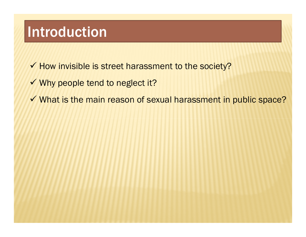### Introduction

- $\checkmark$  How invisible is street harassment to the society?
- $\checkmark$  Why people tend to neglect it?
- $\checkmark$  What is the main reason of sexual harassment in public space?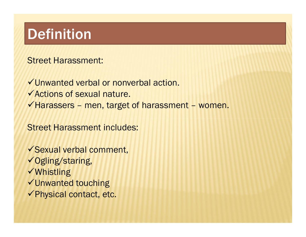# Definition

Street Harassment:

Unwanted verbal or nonverbal action.Actions of sexual nature. $\checkmark$  Harassers - men, target of harassment - women.

Street Harassment includes:

Sexual verbal comment,**√Ogling/staring, √Whistling** Unwanted touching Physical contact, etc.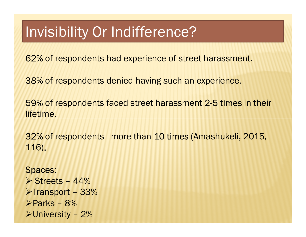## Invisibility Or Indifference?

62% of respondents had experience of street harassment.

38% of respondents denied having such an experience.

59% of respondents faced street harassment 2-5 times in their lifetime.

32% of respondents - more than 10 times (Amashukeli, 2015, 116).

Spaces:Streets - 44%<br>Stransport - 33 ≽Transport – 33%<br>≽Parks – 8% -Parks – 8%  $\blacktriangleright$ University – 2%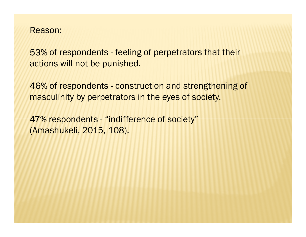#### Reason:

53% of respondents - feeling of perpetrators that their actions will not be punished.

46% of respondents - construction and strengthening of masculinity by perpetrators in the eyes of society.

47% respondents - "indifference of society" (Amashukeli, 2015, 108).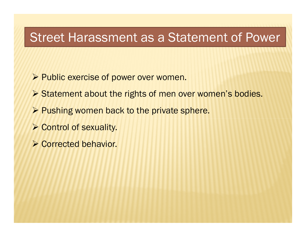#### Street Harassment as a Statement of Power

- Public exercise of power over women.
- Statement about the rights of men over women's bodies.
- Pushing women back to the private sphere.
- **▶ Control of sexuality.**
- Corrected behavior.